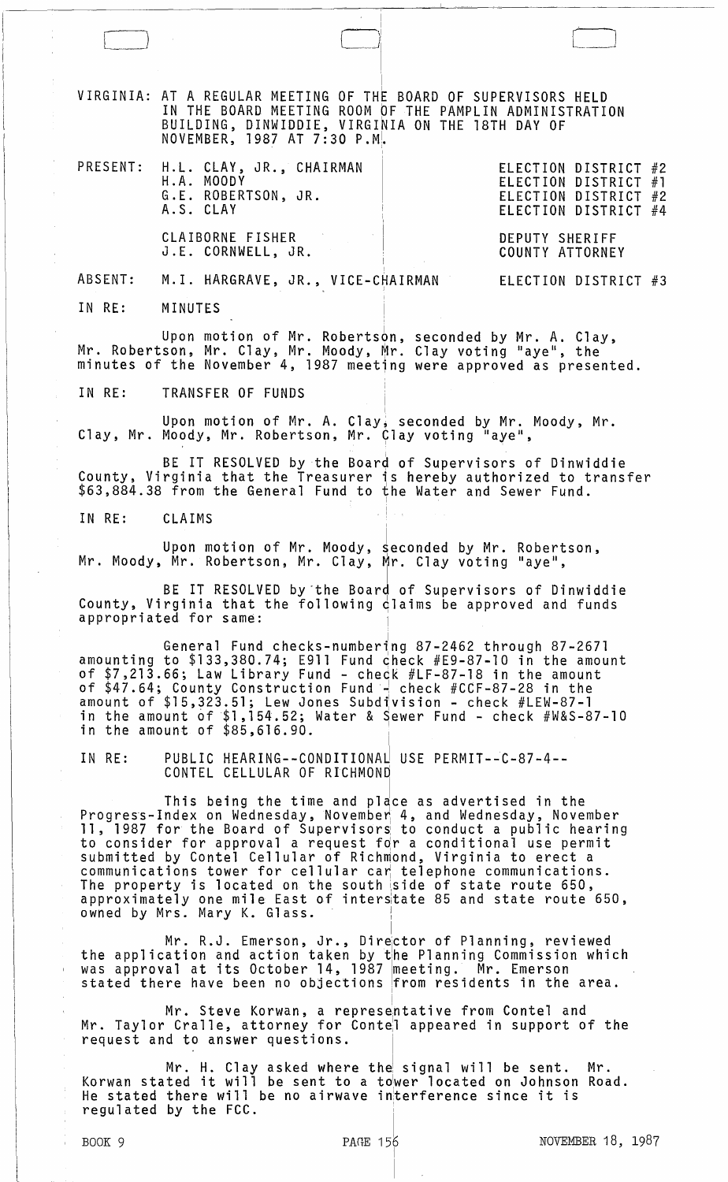VIRGINIA: <sup>I</sup>AT A REGULAR MEETING OF THE BOARD OF SUPERVISORS HELD IN THE BOARD MEETING ROOM bF THE PAMPLIN ADMINISTRATION BUILDING, DINWIDDIE, VIRGINIA ON THE 18TH DAY OF NOVEMBER, 1987 AT 7:30 p.ML

I

 $\Box$ 

| PRESENT: H.L. CLAY, JR., CHAIRMAN<br>H.A. MOODY<br>G.E. ROBERTSON, JR.<br>A.S. CLAY | ELECTION DISTRICT #2<br>ELECTION DISTRICT #1<br>ELECTION DISTRICT #2<br>ELECTION DISTRICT #4 |
|-------------------------------------------------------------------------------------|----------------------------------------------------------------------------------------------|
| CLAIBORNE FISHER<br>J.E. CORNWELL, JR.                                              | DEPUTY SHERIFF<br>COUNTY ATTORNEY                                                            |
| ABSENT: M.I. HARGRAVE, JR., VICE-CHAIRMAN                                           | ELECTION DISTRICT #3                                                                         |

IN RE: MINUTES

 $\begin{pmatrix} 1 & 1 \\ 1 & 1 \end{pmatrix}$ 

Upon motion of Mr. Robertson, seconded by Mr. A. Clay,<br>Mr. Robertson, Mr. Clay, Mr. Moody, Mr. Clay voting "aye", the minutes of the November 4, 1987 meeting were approved as presented.

IN RE: TRANSFER OF FUNDS

Upon motion of Mr. A. Clay, seconded by Mr. Moody, Mr. Clay, Mr. Moody, Mr. Robertson, Mr. Clay voting "aye",

BE IT RESOLVED by the Board of Supervisors of Dinwiddie County, Virginia that the Treasurer is hereby authorized to transfer  $$63,884.38$  from the General Fund to the Water and Sewer Fund.

IN RE: CLAIMS

Upon motion of Mr. Moody, seconded by Mr. Robertson, Mr. Moody, Mr. Robertson, Mr. Clay, Mr. Clay voting "aye",

BE IT RESOLVED by'the Board of Supervisors of Dinwiddie County, Virginia that the following claims be approved and funds appropriated for same:

.i General Fund checks-numberlng 87-2462 through 87-2671 amounting to \$133,380.74; E911 Fund check #E9-87-10 in the amount of \$7,213.66; Law Library Fund - check #LF-87-l8 in the amount of \$47.64; County Construction Fund·~ check #CCF-87-28 in the amount of \$15,323.51; Lew Jones Subd1vision - check #LEW-87-1 in the amount of  $$1,154.52;$  Water & Sewer Fund - check  $#W&S-87-10$ in the amount of  $$85,616.90$ .

IN RE: PUBLIC HEARING--CONDITIONAJ USE PERMIT--C-87-4-- CONTEL CELLULAR OF RICHMONd

This being the time and place as advertised in the<br>Progress-Index on Wednesday, November 4, and Wednesday, November 11, 1987 for the Board of Supervisors to conduct a public hearing<br>to consider for approval a request for a conditional use permit to consider for approval a request for a conditional use permit<br>submitted by Contel Cellular of Richmond, Virginia to erect a communications tower for cellular car telephone communications. The property is located on the south side of state route 650, approximately one mile East of interstate 85 and state route 650, owned by Mrs. Mary K. Glass. III.

Mr. R.J. Emerson, Jr., Director of Planning, reviewed the application and action taken by the Planning Commission which enc apprication and action caken by the fiamning commission which<br>was approval at its October 14, 1987 meeting. Mr. Emerson<br>stated there have been no objections from residents in the area.

Mr. Steve Korwan, a represe<mark>ntative from Contel and</mark> Mr. Taylor Cralle, attorney for Contel appeared in support of the request and to answer questions.

Mr. H. Clay asked where the signal will be sent. Mr.<br>Korwan stated it will be sent to a tower located on Johnson Road. He stated there will be no airwave initerference since it is regulated by the FCC.

 $\begin{array}{ccc} \text{B} & \text{B} & \text{B} & \text{B} \\ \text{B} & \text{B} & \text{B} & \text{B} \\ \text{B} & \text{B} & \text{B} & \text{B} \end{array}$ 

I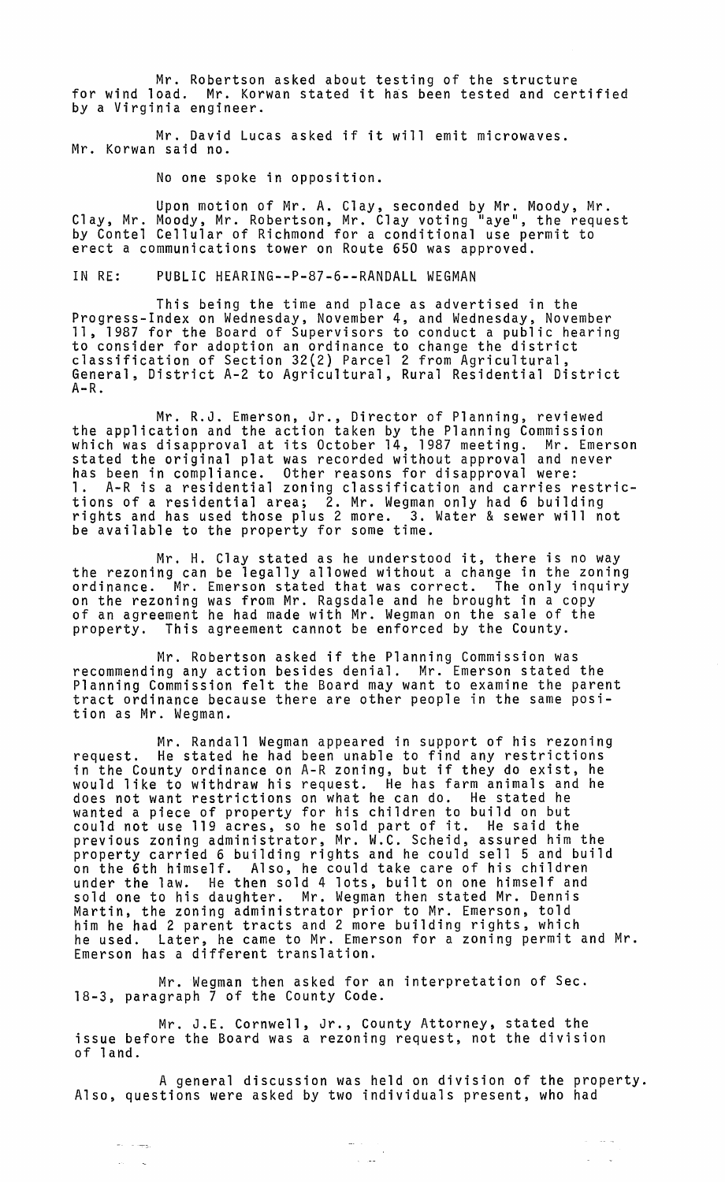Mr. Robertson asked about testing of the structure for wind load. Mr. Korwan stated it has been tested and certified by a Virginia engineer.

Mr. David Lucas asked if it will emit microwaves. Mr. Korwan said no.

No one spoke in opposition.

Upon motion of Mr. A. Clay, seconded by Mr. Moody, Mr. Clay, Mr. Moody, Mr. Robertson, Mr. Clay voting "aye", the request<br>by Contel Cellular of Richmond for a conditional use permit to erect a communications tower on Route 650 was approved.

IN RE: PUBLIC HEARING--P-87-6--RANDALL WEGMAN

This being the time and place as advertised in the Progress-Index on Wednesday, November 4, and Wednesday, November 11, 1987 for the Board of Supervisors to conduct a public hearing to consider for adoption an ordinance to change the district classification of Section 32(2) Parcel 2 from Agricultural, General, District A-2 to Agricultural, Rural Residential District  $A-R$ .

Mr. R.J. Emerson, Jr., Director of Planning, reviewed the application and the action taken by the Planning Commission which was disapproval at its October 14, 1987 meeting. Mr. Emerson stated the original plat was recorded without approval and never has been in compliance. Other reasons for disapproval were: 1. A-R is a residential zoning classification and carries restrictions of a residential area; Ž. Mr. Wegman only had 6 building<br>rights and has used those plus 2 more. 3. Water & sewer will not be available to the property for some time.

Mr. H. Clay stated as he understood it, there is no way the rezoning can be legally allowed without a change in the zoning ordinance. Mr. Emerson stated that was correct. The only inquiry on the rezoning was from Mr. Ragsdale and he brought in a copy<br>of an agreement he had made with Mr. Wegman on the sale of the property. This agreement cannot be enforced by the County.

Mr. Robertson asked if the Planning Commission was recommending any action besides denial. Mr. Emerson stated the Planning Commission felt the Board may want to examine the parent tract ordinance because there are other people in the same position as Mr. Wegman.

Mr. Randall Wegman appeared in support of his rezoning request. He stated he had been unable to find any restrictions in the County ordinance on A-R zoning, but if they do exist, he would like to withdraw his request. He has farm animals and he does not want restrictions on what he can do. He stated he wanted a piece of property for his children to build on but could not use 119 acres, so he sold part of it. He said the previous zoning administrator, Mr. W.C. Scheid, assured him the property carried 6 building rights and he could sell 5 and build on the 6th himself. Also, he could take care of his children under the law. He then sold 4 lots, built on one himself and sold one to his daughter. Mr. Wegman then stated Mr. Dennis Martin, the zoning administrator prior to Mr. Emerson, told him he had 2 parent tracts and 2 more building rights, which he used. Later, he came to Mr. Emerson for a zoning permit and Mr. Emerson has a different translation.

Mr. Wegman then asked for an interpretation of Sec. 18-3, paragraph 7 of the County Code.

Mr. J.E. Cornwell, Jr., County Attorney, stated the issue before the Board was a rezoning request, not the division of land.

 $\omega_{\rm{max}}$  and  $\omega_{\rm{max}}$ 

 $\omega_{\rm{max}}$ 

A general discussion was held on division of the property. Also, questions were asked by two individuals present, who had

المعاربان

 $\alpha$  , and  $\alpha$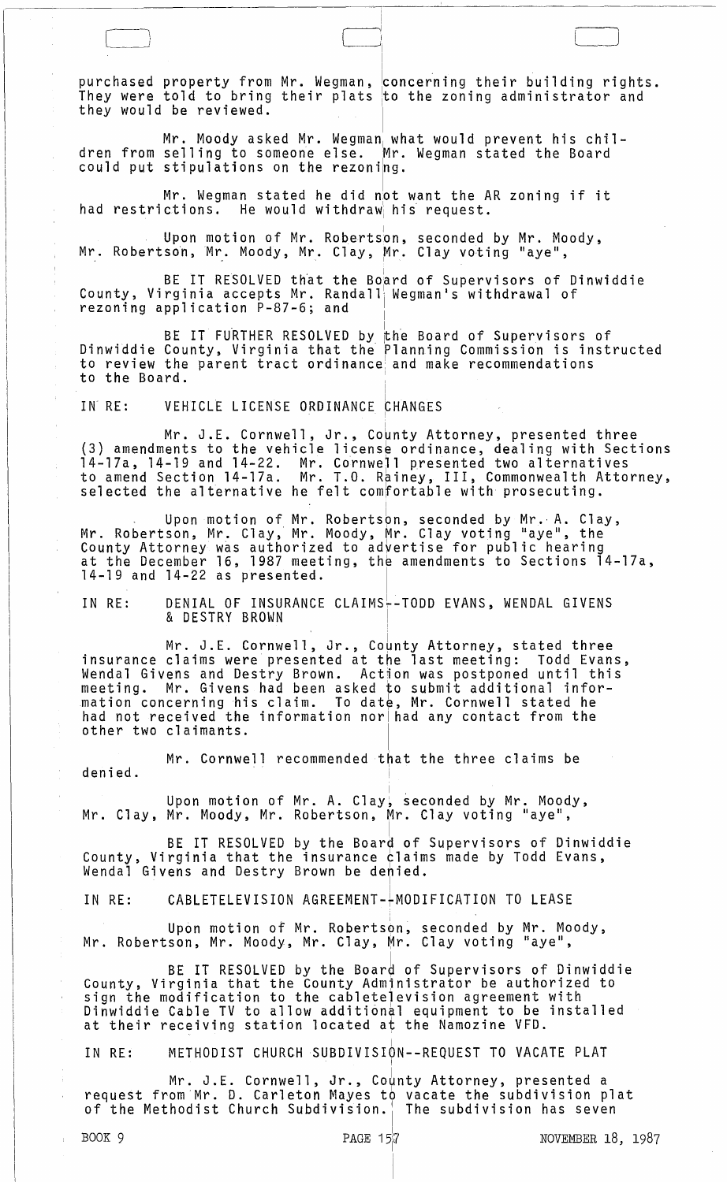purchased property from Mr. Wegman, .<br>They were told to bring their plats<br>they would be reviewed. concerning their building rights. to the zoning administrator and

 $\Box$ 

i i

Mr. Moody asked Mr. Wegman what would prevent his children from selling to someone else. Mr. Wegman stated the Board could put stipulations on the rezoning.

Mr. Wegman stated he did not want the AR zoning if it<br>had restrictions. He would withdraw his request. He would withdraw his request.

Upon motion of Mr. Robertson, seconded by Mr. Moody, Mr. Robertson, Mr. Moody, Mr. Clay, Mr. Clay voting "aye",

BE IT RESOLVED that the Board of Supervisors of Dinwiddie County, Virginia accepts Mr. Randall Wegman's withdrawal of rezoning application P-87-6; and  $\qquad \Big\vert$ 

BE IT FURTHER RESOLVED by the Board of Supervisors of Dinwiddie County, Virginia that the Planning Commission is instructed to review the parent tract ordinance and make recommendations to the Board.

IN RE: VEHICLE LICENSE ORDINANCE CHANGES

Mr. J.E. Cornwell, Jr., County Attorney, presented three (3) amendments to the vehicle license ordinance, dealing with Sections 14-17a, 14-19 and 14-22. Mr. Cornwell presented two alternatives to amend Section 14-l7a. Mr. T.O. Rainey, III, Commonwealth Attorney, selected the alternative he felt com~ortab1e with prosecuting.

, I <sup>I</sup>Upon motion of Mr. Robertson, seconded by Mr., A. Clay, Mr. Robertson, Mr. Clay, Mr. Moody, Mr. Clay voting "aye", the County Attorney was authorized to advertise for public hearing at the December 16, 1987 meeting, the amendments to Sections 14-17a,  $14-19$  and  $14-22$  as presented.

!

IN RE: DENIAL OF INSURANCE CLAIMS--TODD EVANS, WENDAL GIVENS **& DESTRY BROWN** 

Mr. J.E. Cornwell, Jr., County Attorney, stated three insurance claims were presented at the last meeting: Todd Evans, Wenda1 Givens and Destry Brown. Action was postponed until this meeting. Mr. Givens had been asked to submit additional information concerning his claim. To date, Mr. Cornwell stated he had not received the information nor had any contact from the other two claimants.

Mr. Cornwell recommended that the three claims be denied.

Upon motion of Mr. A. Clay, seconded by Mr. Moody,<br>Mr. Clay, Mr. Moody, Mr. Robertson, Mr. Clay voting "aye",

BE IT RESOLVED by the Board of Supervisors of Dinwiddie County, Virginia that the insurance claims made by Todd Evans, Wendal Givens and Destry Brown be denied.

IN RE: CABLETELEVISION AGREEMENT-+MODIFICATION TO LEASE

Upon motion of Mr. Robertson, seconded by Mr. Moody, Mr. Robertson, Mr. Moody, Mr. Clay, Mr. Clay voting "aye",

BE IT RESOLVED by the Board of Supervisors of Dinwiddie County, Virginia that the County Admjnistrator be authorized to sign the modification to the cabletelevision agreement with Dinwiddie Cable TV to allow additional equipment to be installed at their receiving station located at the Namozine VFD.

IN RE: METHODIST CHURCH SUBDIVISION--REQUEST TO VACATE PLAT

Mr. J.E. Cornwell, Jr., County Attorney, presented a request from Mr. D. Carleton Mayes to vacate the subdivision plat<br>of the Methodist Church Subdivision. The subdivision has seven

 $\mathbf i$  $\bar{1}$  $\bar{1}$  $\bar{z}$ 

 $\mathbf{I}$